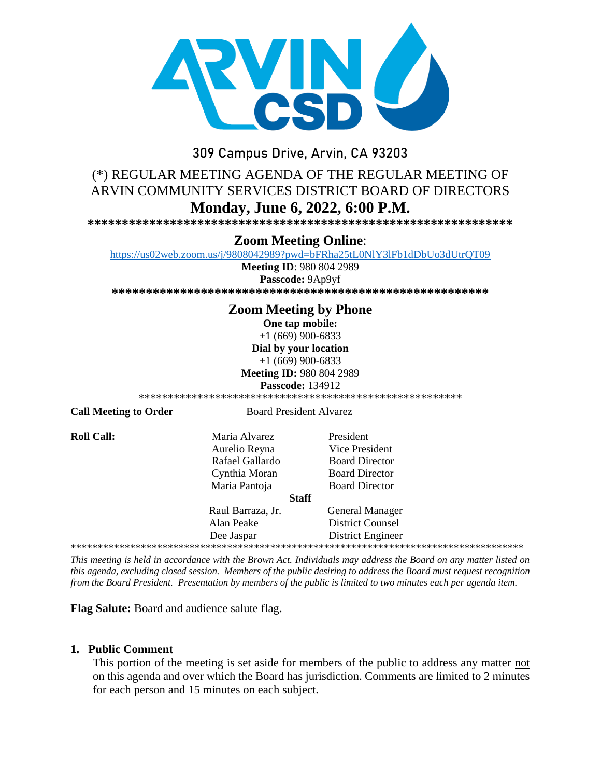

# 309 Campus Drive, Arvin, CA 93203

# (\*) REGULAR MEETING AGENDA OF THE REGULAR MEETING OF ARVIN COMMUNITY SERVICES DISTRICT BOARD OF DIRECTORS Monday, June 6, 2022, 6:00 P.M.

#### **Zoom Meeting Online:**

https://us02web.zoom.us/j/9808042989?pwd=bFRha25tL0NlY3lFb1dDbUo3dUtrQT09

**Meeting ID: 980 804 2989** 

Passcode: 9Ap9yf 

## **Zoom Meeting by Phone**

One tap mobile:

 $+1(669)900-6833$ Dial by your location  $+1(669)900-6833$ 

**Meeting ID: 980 804 2989** 

**Passcode: 134912** 

**Call Meeting to Order** 

**Board President Alvarez** 

**Roll Call:** 

Maria Alvarez Aurelio Reyna Rafael Gallardo Cynthia Moran Maria Pantoja

President Vice President **Board Director Board Director Board Director** 

#### **Staff**

Raul Barraza, Jr. **General Manager** Alan Peake **District Counsel** Dee Jaspar **District Engineer** 

This meeting is held in accordance with the Brown Act. Individuals may address the Board on any matter listed on this agenda, excluding closed session. Members of the public desiring to address the Board must request recognition from the Board President. Presentation by members of the public is limited to two minutes each per agenda item.

Flag Salute: Board and audience salute flag.

#### 1. Public Comment

This portion of the meeting is set aside for members of the public to address any matter not on this agenda and over which the Board has jurisdiction. Comments are limited to 2 minutes for each person and 15 minutes on each subject.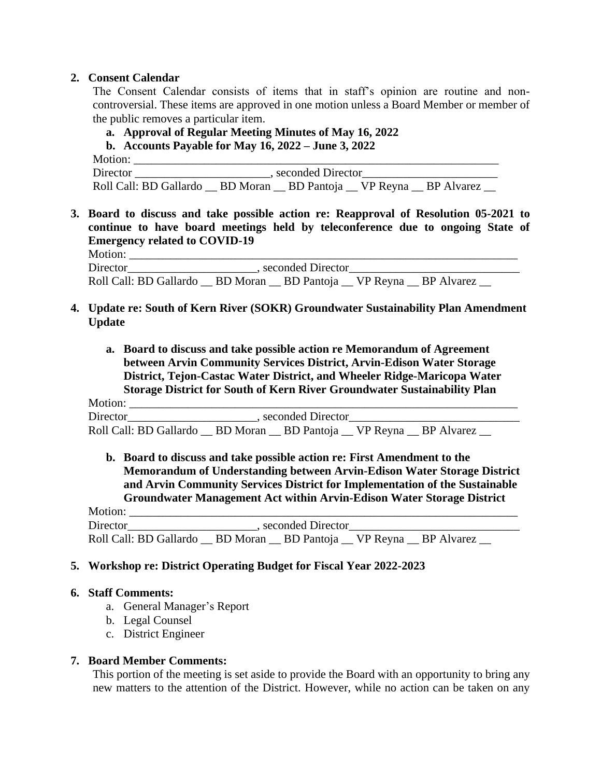#### **2. Consent Calendar**

The Consent Calendar consists of items that in staff's opinion are routine and noncontroversial. These items are approved in one motion unless a Board Member or member of the public removes a particular item.

### **a. Approval of Regular Meeting Minutes of May 16, 2022**

**b. Accounts Payable for May 16, 2022 – June 3, 2022**

Motion: \_\_\_\_\_\_\_\_\_\_\_\_\_\_\_\_\_\_\_\_\_\_\_\_\_\_\_\_\_\_\_\_\_\_\_\_\_\_\_\_\_\_\_\_\_\_\_\_\_\_\_\_\_\_\_\_\_\_\_\_\_\_ Director \_\_\_\_\_\_\_\_\_\_\_\_\_\_\_\_\_\_\_\_\_\_\_\_, seconded Director\_\_\_\_\_\_\_\_\_\_\_\_\_\_\_\_\_\_\_\_\_\_\_\_\_\_\_\_\_ Roll Call: BD Gallardo \_\_ BD Moran \_\_ BD Pantoja \_\_ VP Reyna \_\_ BP Alvarez \_\_

**3. Board to discuss and take possible action re: Reapproval of Resolution 05-2021 to continue to have board meetings held by teleconference due to ongoing State of Emergency related to COVID-19** Motion: \_\_\_\_\_\_\_\_\_\_\_\_\_\_\_\_\_\_\_\_\_\_\_\_\_\_\_\_\_\_\_\_\_\_\_\_\_\_\_\_\_\_\_\_\_\_\_\_\_\_\_\_\_\_\_\_\_\_\_\_\_\_\_\_\_\_

Director\_\_\_\_\_\_\_\_\_\_\_\_\_\_\_\_\_\_\_\_\_\_\_\_\_, seconded Director\_\_\_\_\_\_\_\_\_\_\_\_\_\_\_\_\_\_\_\_\_\_\_\_\_\_\_\_\_ Roll Call: BD Gallardo \_\_ BD Moran \_\_ BD Pantoja \_\_ VP Reyna \_\_ BP Alvarez

#### **4. Update re: South of Kern River (SOKR) Groundwater Sustainability Plan Amendment Update**

**a. Board to discuss and take possible action re Memorandum of Agreement between Arvin Community Services District, Arvin-Edison Water Storage District, Tejon-Castac Water District, and Wheeler Ridge-Maricopa Water Storage District for South of Kern River Groundwater Sustainability Plan**

Motion: \_\_\_\_\_\_\_\_\_\_\_\_\_\_\_\_\_\_\_\_\_\_\_\_\_\_\_\_\_\_\_\_\_\_\_\_\_\_\_\_\_\_\_\_\_\_\_\_\_\_\_\_\_\_\_\_\_\_\_\_\_\_\_\_\_\_ Director example are seconded Director and  $\overline{D}$  seconded Director Roll Call: BD Gallardo \_\_ BD Moran \_\_ BD Pantoja \_\_ VP Reyna \_\_ BP Alvarez \_\_

**b. Board to discuss and take possible action re: First Amendment to the Memorandum of Understanding between Arvin-Edison Water Storage District and Arvin Community Services District for Implementation of the Sustainable Groundwater Management Act within Arvin-Edison Water Storage District**

Motion: \_\_\_\_\_\_\_\_\_\_\_\_\_\_\_\_\_\_\_\_\_\_\_\_\_\_\_\_\_\_\_\_\_\_\_\_\_\_\_\_\_\_\_\_\_\_\_\_\_\_\_\_\_\_\_\_\_\_\_\_\_\_\_\_\_\_ Director\_\_\_\_\_\_\_\_\_\_\_\_\_\_\_\_\_\_\_\_\_\_\_\_\_\_, seconded Director\_\_\_\_\_\_\_\_\_\_\_\_\_\_\_\_\_\_\_\_\_\_\_\_\_\_\_\_ Roll Call: BD Gallardo \_\_ BD Moran \_\_ BD Pantoja \_\_ VP Reyna \_\_ BP Alvarez \_\_

## **5. Workshop re: District Operating Budget for Fiscal Year 2022-2023**

#### **6. Staff Comments:**

- a. General Manager's Report
- b. Legal Counsel
- c. District Engineer

#### **7. Board Member Comments:**

This portion of the meeting is set aside to provide the Board with an opportunity to bring any new matters to the attention of the District. However, while no action can be taken on any